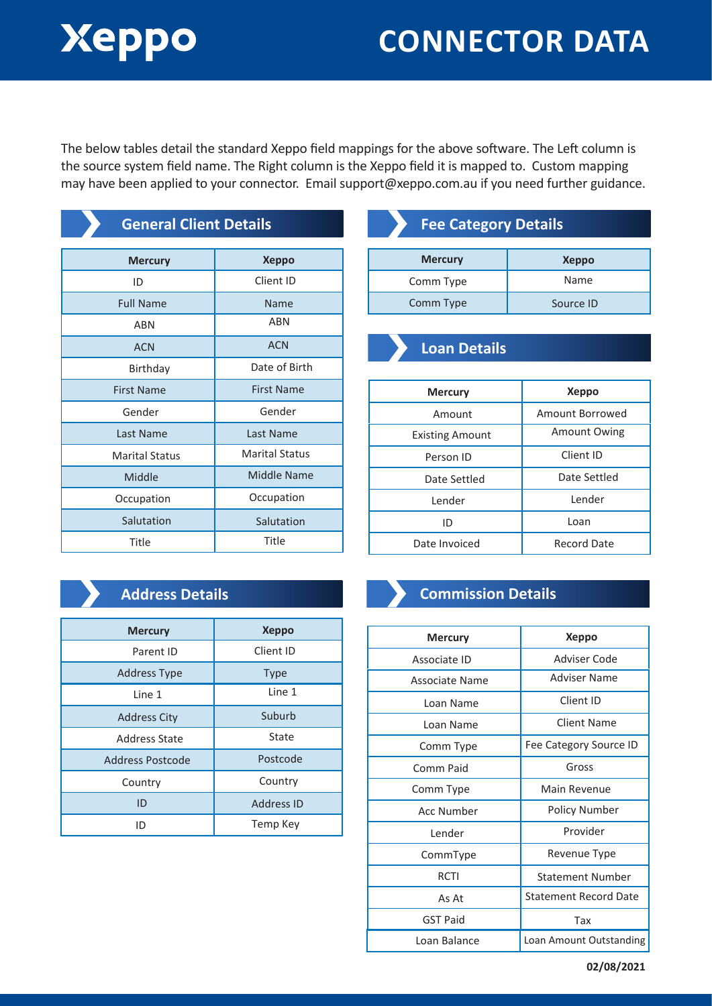# Xeppo

## **CONNECTOR DATA**

The below tables detail the standard Xeppo field mappings for the above software. The Left column is the source system field name. The Right column is the Xeppo field it is mapped to. Custom mapping may have been applied to your connector. Email support@xeppo.com.au if you need further guidance.

| <b>General Client Details</b> |                       | <b>Fee Ca</b>      |
|-------------------------------|-----------------------|--------------------|
| <b>Mercury</b>                | <b>Xeppo</b>          | <b>Mercury</b>     |
| ID                            | Client ID             | Comm Type          |
| <b>Full Name</b>              | <b>Name</b>           | Comm Typ           |
| <b>ABN</b>                    | <b>ABN</b>            |                    |
| <b>ACN</b>                    | <b>ACN</b>            | Loan I             |
| Birthday                      | Date of Birth         |                    |
| <b>First Name</b>             | <b>First Name</b>     | <b>Mercur</b>      |
| Gender                        | Gender                | Amou               |
| Last Name                     | Last Name             | <b>Existing Ar</b> |
| <b>Marital Status</b>         | <b>Marital Status</b> | Person             |
| Middle                        | <b>Middle Name</b>    | Date Se            |
| Occupation                    | Occupation            | Lender             |
| Salutation                    | Salutation            | ID                 |
| Title                         | Title                 | Date Invoi         |
|                               |                       |                    |

## **Fee Category Details**

| <b>Mercury</b> | <b>Xeppo</b> |
|----------------|--------------|
| Comm Type      | Name         |
| Comm Type      | Source ID    |

### **Loan Details**

| <b>Mercury</b>         | <b>Xeppo</b>       |
|------------------------|--------------------|
| Amount                 | Amount Borrowed    |
| <b>Existing Amount</b> | Amount Owing       |
| Person ID              | Client ID          |
| Date Settled           | Date Settled       |
| Lender                 | Lender             |
| ID                     | Loan               |
| Date Invoiced          | <b>Record Date</b> |

### **Address Details**

| <b>Mercury</b>          | <b>Xeppo</b>      |
|-------------------------|-------------------|
| Parent ID               | Client ID         |
| <b>Address Type</b>     | <b>Type</b>       |
| Line 1                  | Line 1            |
| <b>Address City</b>     | Suburb            |
| <b>Address State</b>    | State             |
| <b>Address Postcode</b> | Postcode          |
| Country                 | Country           |
| ID                      | <b>Address ID</b> |
| ID                      | Temp Key          |

## **Commission Details**

#### Associate ID Associate Name Loan Name Loan Name Comm Type Comm Paid Comm Type Acc Number Lender CommType RCTI As At **Mercury Xeppo** Adviser Code Adviser Name Client ID Client Name Fee Category Source ID Gross Main Revenue Policy Number Provider Revenue Type Statement Number Statement Record Date GST Paid and Tax Loan Balance | Loan Amount Outstanding